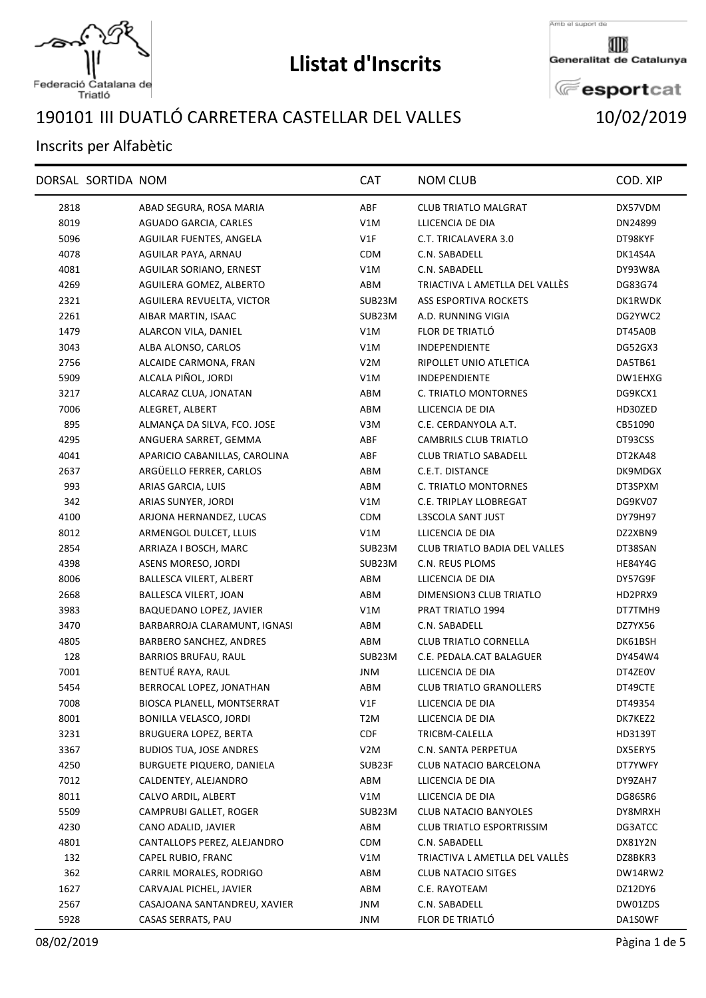

Federació Catalana de<br>Triatló

## **Llistat d'Inscrits**

Amb el suport de

Generalitat de Catalunya

**E**esportcat

## III DUATLÓ CARRETERA CASTELLAR DEL VALLES 10/02/2019

## Inscrits per Alfabètic

|      | DORSAL SORTIDA NOM |                                | <b>CAT</b>       | <b>NOM CLUB</b>                      | COD. XIP       |
|------|--------------------|--------------------------------|------------------|--------------------------------------|----------------|
| 2818 |                    | ABAD SEGURA, ROSA MARIA        | ABF              | <b>CLUB TRIATLO MALGRAT</b>          | DX57VDM        |
| 8019 |                    | AGUADO GARCIA, CARLES          | V1M              | LLICENCIA DE DIA                     | DN24899        |
| 5096 |                    | AGUILAR FUENTES, ANGELA        | V1F              | C.T. TRICALAVERA 3.0                 | DT98KYF        |
| 4078 |                    | AGUILAR PAYA, ARNAU            | <b>CDM</b>       | C.N. SABADELL                        | DK14S4A        |
| 4081 |                    | AGUILAR SORIANO, ERNEST        | V1M              | C.N. SABADELL                        | DY93W8A        |
| 4269 |                    | AGUILERA GOMEZ, ALBERTO        | ABM              | TRIACTIVA L AMETLLA DEL VALLÉS       | DG83G74        |
| 2321 |                    | AGUILERA REVUELTA, VICTOR      | SUB23M           | <b>ASS ESPORTIVA ROCKETS</b>         | DK1RWDK        |
| 2261 |                    | AIBAR MARTIN, ISAAC            | SUB23M           | A.D. RUNNING VIGIA                   | DG2YWC2        |
| 1479 |                    | ALARCON VILA, DANIEL           | V1M              | FLOR DE TRIATLÓ                      | DT45A0B        |
| 3043 |                    | ALBA ALONSO, CARLOS            | V1M              | <b>INDEPENDIENTE</b>                 | DG52GX3        |
| 2756 |                    | ALCAIDE CARMONA, FRAN          | V <sub>2</sub> M | RIPOLLET UNIO ATLETICA               | DA5TB61        |
| 5909 |                    | ALCALA PIÑOL, JORDI            | V1M              | <b>INDEPENDIENTE</b>                 | DW1EHXG        |
| 3217 |                    | ALCARAZ CLUA, JONATAN          | ABM              | C. TRIATLO MONTORNES                 | DG9KCX1        |
| 7006 |                    | ALEGRET, ALBERT                | ABM              | LLICENCIA DE DIA                     | HD30ZED        |
| 895  |                    | ALMANÇA DA SILVA, FCO. JOSE    | V3M              | C.E. CERDANYOLA A.T.                 | CB51090        |
| 4295 |                    | ANGUERA SARRET, GEMMA          | ABF              | CAMBRILS CLUB TRIATLO                | DT93CSS        |
| 4041 |                    | APARICIO CABANILLAS, CAROLINA  | ABF              | <b>CLUB TRIATLO SABADELL</b>         | DT2KA48        |
| 2637 |                    | ARGÜELLO FERRER, CARLOS        | ABM              | C.E.T. DISTANCE                      | DK9MDGX        |
| 993  |                    | ARIAS GARCIA, LUIS             | ABM              | C. TRIATLO MONTORNES                 | DT3SPXM        |
| 342  |                    | ARIAS SUNYER, JORDI            | V1M              | C.E. TRIPLAY LLOBREGAT               | DG9KV07        |
| 4100 |                    | ARJONA HERNANDEZ, LUCAS        | <b>CDM</b>       | L3SCOLA SANT JUST                    | DY79H97        |
| 8012 |                    | ARMENGOL DULCET, LLUIS         | V1M              | LLICENCIA DE DIA                     | DZ2XBN9        |
| 2854 |                    | ARRIAZA I BOSCH, MARC          | SUB23M           | <b>CLUB TRIATLO BADIA DEL VALLES</b> | DT38SAN        |
| 4398 |                    | ASENS MORESO, JORDI            | SUB23M           | C.N. REUS PLOMS                      | <b>HE84Y4G</b> |
| 8006 |                    | BALLESCA VILERT, ALBERT        | ABM              | LLICENCIA DE DIA                     | DY57G9F        |
| 2668 |                    | BALLESCA VILERT, JOAN          | ABM              | DIMENSION3 CLUB TRIATLO              | HD2PRX9        |
| 3983 |                    | BAQUEDANO LOPEZ, JAVIER        | V1M              | PRAT TRIATLO 1994                    | DT7TMH9        |
| 3470 |                    | BARBARROJA CLARAMUNT, IGNASI   | ABM              | C.N. SABADELL                        | DZ7YX56        |
| 4805 |                    | BARBERO SANCHEZ, ANDRES        | ABM              | <b>CLUB TRIATLO CORNELLA</b>         | DK61BSH        |
| 128  |                    | <b>BARRIOS BRUFAU, RAUL</b>    | SUB23M           | C.E. PEDALA.CAT BALAGUER             | DY454W4        |
| 7001 |                    | BENTUÉ RAYA, RAUL              | JNM              | LLICENCIA DE DIA                     | DT4ZE0V        |
| 5454 |                    | BERROCAL LOPEZ, JONATHAN       | ABM              | <b>CLUB TRIATLO GRANOLLERS</b>       | DT49CTE        |
| 7008 |                    | BIOSCA PLANELL, MONTSERRAT     | V1F              | LLICENCIA DE DIA                     | DT49354        |
| 8001 |                    | <b>BONILLA VELASCO, JORDI</b>  | T <sub>2</sub> M | LLICENCIA DE DIA                     | DK7KEZ2        |
| 3231 |                    | BRUGUERA LOPEZ, BERTA          | CDF              | TRICBM-CALELLA                       | HD3139T        |
| 3367 |                    | <b>BUDIOS TUA, JOSE ANDRES</b> | V2M              | C.N. SANTA PERPETUA                  | DX5ERY5        |
| 4250 |                    | BURGUETE PIQUERO, DANIELA      | SUB23F           | CLUB NATACIO BARCELONA               | DT7YWFY        |
| 7012 |                    | CALDENTEY, ALEJANDRO           | ABM              | LLICENCIA DE DIA                     | DY9ZAH7        |
| 8011 |                    | CALVO ARDIL, ALBERT            | V1M              | LLICENCIA DE DIA                     | DG86SR6        |
| 5509 |                    | CAMPRUBI GALLET, ROGER         | SUB23M           | <b>CLUB NATACIO BANYOLES</b>         | DY8MRXH        |
| 4230 |                    | CANO ADALID, JAVIER            | ABM              | <b>CLUB TRIATLO ESPORTRISSIM</b>     | DG3ATCC        |
| 4801 |                    | CANTALLOPS PEREZ, ALEJANDRO    | <b>CDM</b>       | C.N. SABADELL                        | DX81Y2N        |
| 132  |                    | CAPEL RUBIO, FRANC             | V1M              | TRIACTIVA L AMETLLA DEL VALLÈS       | DZ8BKR3        |
| 362  |                    | CARRIL MORALES, RODRIGO        | ABM              | <b>CLUB NATACIO SITGES</b>           | DW14RW2        |
| 1627 |                    | CARVAJAL PICHEL, JAVIER        | ABM              | C.E. RAYOTEAM                        | DZ12DY6        |
| 2567 |                    | CASAJOANA SANTANDREU, XAVIER   | JNM              | C.N. SABADELL                        | DW01ZDS        |
| 5928 |                    | CASAS SERRATS, PAU             | JNM              | FLOR DE TRIATLÓ                      | DA1S0WF        |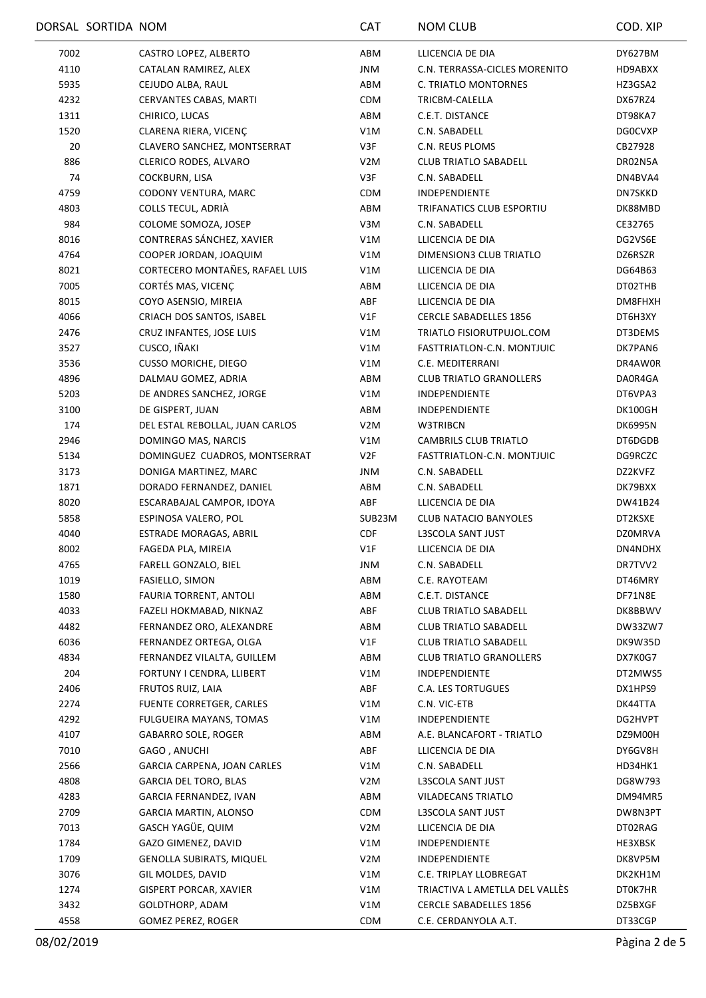|      | DORSAL SORTIDA NOM |                                 | CAT              | <b>NOM CLUB</b>                | COD. XIP       |
|------|--------------------|---------------------------------|------------------|--------------------------------|----------------|
| 7002 |                    | CASTRO LOPEZ, ALBERTO           | ABM              | LLICENCIA DE DIA               | DY627BM        |
| 4110 |                    | CATALAN RAMIREZ, ALEX           | JNM              | C.N. TERRASSA-CICLES MORENITO  | HD9ABXX        |
| 5935 |                    | CEJUDO ALBA, RAUL               | ABM              | C. TRIATLO MONTORNES           | HZ3GSA2        |
| 4232 |                    | CERVANTES CABAS, MARTI          | <b>CDM</b>       | TRICBM-CALELLA                 | DX67RZ4        |
| 1311 |                    | CHIRICO, LUCAS                  | ABM              | C.E.T. DISTANCE                | DT98KA7        |
| 1520 |                    | CLARENA RIERA, VICENÇ           | V1M              | C.N. SABADELL                  | <b>DG0CVXP</b> |
| 20   |                    | CLAVERO SANCHEZ, MONTSERRAT     | V3F              | C.N. REUS PLOMS                | CB27928        |
| 886  |                    | CLERICO RODES, ALVARO           | V <sub>2</sub> M | <b>CLUB TRIATLO SABADELL</b>   | DR02N5A        |
| 74   |                    | COCKBURN, LISA                  | V3F              | C.N. SABADELL                  | DN4BVA4        |
| 4759 |                    | CODONY VENTURA, MARC            | CDM              | INDEPENDIENTE                  | DN7SKKD        |
| 4803 |                    | COLLS TECUL, ADRIÀ              | ABM              | TRIFANATICS CLUB ESPORTIU      | DK88MBD        |
| 984  |                    | COLOME SOMOZA, JOSEP            | V3M              | C.N. SABADELL                  | CE32765        |
| 8016 |                    | CONTRERAS SÁNCHEZ, XAVIER       | V1M              | LLICENCIA DE DIA               | DG2VS6E        |
| 4764 |                    | COOPER JORDAN, JOAQUIM          | V1M              | DIMENSION3 CLUB TRIATLO        | DZ6RSZR        |
| 8021 |                    | CORTECERO MONTAÑES, RAFAEL LUIS | V1M              | LLICENCIA DE DIA               | DG64B63        |
| 7005 |                    | CORTÉS MAS, VICENÇ              | ABM              | LLICENCIA DE DIA               | DT02THB        |
| 8015 |                    | COYO ASENSIO, MIREIA            | ABF              | LLICENCIA DE DIA               | DM8FHXH        |
| 4066 |                    | CRIACH DOS SANTOS, ISABEL       | V1F              | <b>CERCLE SABADELLES 1856</b>  | DT6H3XY        |
| 2476 |                    | CRUZ INFANTES, JOSE LUIS        | V1M              | TRIATLO FISIORUTPUJOL.COM      | DT3DEMS        |
| 3527 |                    | CUSCO, IÑAKI                    | V1M              | FASTTRIATLON-C.N. MONTJUIC     | DK7PAN6        |
| 3536 |                    | <b>CUSSO MORICHE, DIEGO</b>     | V1M              | C.E. MEDITERRANI               | DR4AW0R        |
| 4896 |                    | DALMAU GOMEZ, ADRIA             | ABM              | <b>CLUB TRIATLO GRANOLLERS</b> | DA0R4GA        |
| 5203 |                    | DE ANDRES SANCHEZ, JORGE        | V1M              | <b>INDEPENDIENTE</b>           | DT6VPA3        |
| 3100 |                    | DE GISPERT, JUAN                | ABM              | <b>INDEPENDIENTE</b>           | DK100GH        |
| 174  |                    | DEL ESTAL REBOLLAL, JUAN CARLOS | V <sub>2</sub> M | W3TRIBCN                       | <b>DK6995N</b> |
| 2946 |                    | DOMINGO MAS, NARCIS             | V1M              | <b>CAMBRILS CLUB TRIATLO</b>   | DT6DGDB        |
| 5134 |                    | DOMINGUEZ CUADROS, MONTSERRAT   | V2F              | FASTTRIATLON-C.N. MONTJUIC     | DG9RCZC        |
| 3173 |                    | DONIGA MARTINEZ, MARC           | <b>JNM</b>       | C.N. SABADELL                  | DZ2KVFZ        |
| 1871 |                    | DORADO FERNANDEZ, DANIEL        | ABM              | C.N. SABADELL                  | DK79BXX        |
| 8020 |                    | ESCARABAJAL CAMPOR, IDOYA       | ABF              | LLICENCIA DE DIA               | DW41B24        |
| 5858 |                    | ESPINOSA VALERO, POL            | SUB23M           | <b>CLUB NATACIO BANYOLES</b>   | DT2KSXE        |
| 4040 |                    | ESTRADE MORAGAS, ABRIL          | <b>CDF</b>       | L3SCOLA SANT JUST              | <b>DZ0MRVA</b> |
| 8002 |                    | FAGEDA PLA, MIREIA              | V1F              | LLICENCIA DE DIA               | DN4NDHX        |
| 4765 |                    | FARELL GONZALO, BIEL            | <b>JNM</b>       | C.N. SABADELL                  | DR7TVV2        |
| 1019 |                    | FASIELLO, SIMON                 | ABM              | C.E. RAYOTEAM                  | DT46MRY        |
| 1580 |                    | FAURIA TORRENT, ANTOLI          | ABM              | C.E.T. DISTANCE                | DF71N8E        |
| 4033 |                    | FAZELI HOKMABAD, NIKNAZ         | ABF              | <b>CLUB TRIATLO SABADELL</b>   | DK8BBWV        |
| 4482 |                    | FERNANDEZ ORO, ALEXANDRE        | ABM              | <b>CLUB TRIATLO SABADELL</b>   | DW33ZW7        |
| 6036 |                    | FERNANDEZ ORTEGA, OLGA          | V1F              | <b>CLUB TRIATLO SABADELL</b>   | DK9W35D        |
| 4834 |                    | FERNANDEZ VILALTA, GUILLEM      | ABM              | <b>CLUB TRIATLO GRANOLLERS</b> | DX7K0G7        |
| 204  |                    | FORTUNY I CENDRA, LLIBERT       | V1M              | INDEPENDIENTE                  | DT2MWS5        |
| 2406 |                    | FRUTOS RUIZ, LAIA               | ABF              | <b>C.A. LES TORTUGUES</b>      | DX1HPS9        |
| 2274 |                    | FUENTE CORRETGER, CARLES        | V1M              | C.N. VIC-ETB                   | DK44TTA        |
| 4292 |                    | FULGUEIRA MAYANS, TOMAS         | V1M              | INDEPENDIENTE                  | DG2HVPT        |
| 4107 |                    | <b>GABARRO SOLE, ROGER</b>      | ABM              | A.E. BLANCAFORT - TRIATLO      | DZ9M00H        |
| 7010 |                    | GAGO, ANUCHI                    | ABF              | LLICENCIA DE DIA               | DY6GV8H        |
| 2566 |                    | GARCIA CARPENA, JOAN CARLES     | V1M              | C.N. SABADELL                  | HD34HK1        |
| 4808 |                    | <b>GARCIA DEL TORO, BLAS</b>    | V2M              | L3SCOLA SANT JUST              | DG8W793        |
| 4283 |                    | GARCIA FERNANDEZ, IVAN          | ABM              | VILADECANS TRIATLO             | DM94MR5        |
| 2709 |                    | GARCIA MARTIN, ALONSO           | CDM              | L3SCOLA SANT JUST              | DW8N3PT        |
| 7013 |                    | GASCH YAGÜE, QUIM               | V <sub>2</sub> M | LLICENCIA DE DIA               | DT02RAG        |
| 1784 |                    | GAZO GIMENEZ, DAVID             | V1M              | INDEPENDIENTE                  | HE3XBSK        |
| 1709 |                    | <b>GENOLLA SUBIRATS, MIQUEL</b> | V <sub>2</sub> M | <b>INDEPENDIENTE</b>           | DK8VP5M        |
| 3076 |                    | GIL MOLDES, DAVID               | V1M              | C.E. TRIPLAY LLOBREGAT         | DK2KH1M        |
| 1274 |                    | <b>GISPERT PORCAR, XAVIER</b>   | V1M              | TRIACTIVA L AMETLLA DEL VALLÈS | DT0K7HR        |
| 3432 |                    | GOLDTHORP, ADAM                 | V1M              | <b>CERCLE SABADELLES 1856</b>  | DZ5BXGF        |
| 4558 |                    | GOMEZ PEREZ, ROGER              | CDM              | C.E. CERDANYOLA A.T.           | DT33CGP        |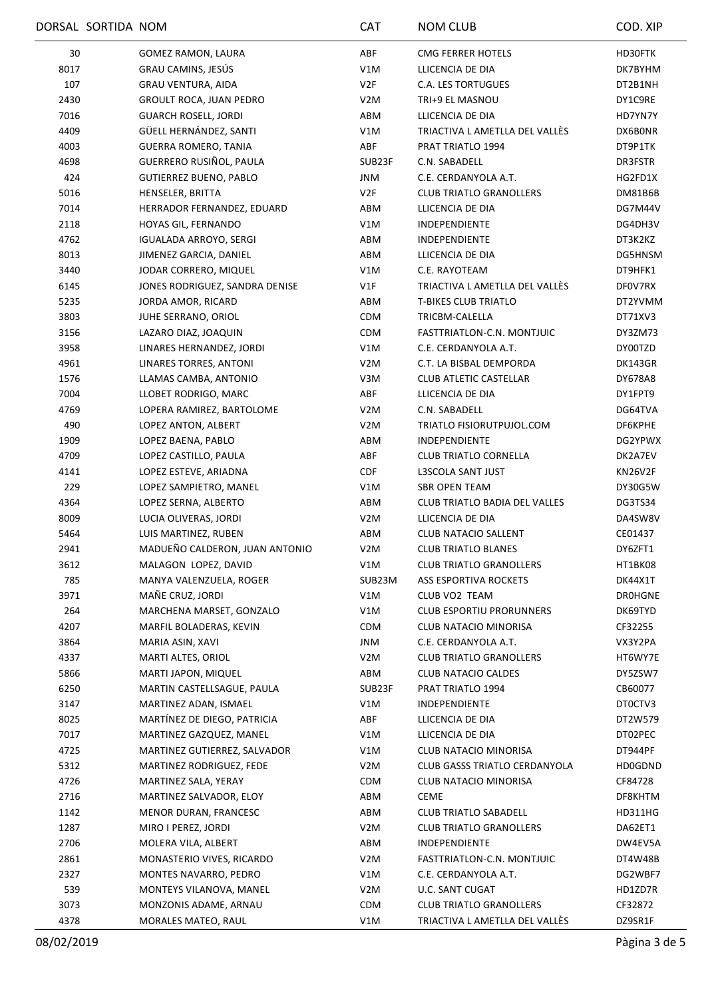|      | DORSAL SORTIDA NOM |                                | <b>CAT</b>       | NOM CLUB                             | COD. XIP       |
|------|--------------------|--------------------------------|------------------|--------------------------------------|----------------|
| 30   |                    | GOMEZ RAMON, LAURA             | ABF              | CMG FERRER HOTELS                    | HD30FTK        |
| 8017 |                    | GRAU CAMINS, JESÚS             | V1M              | LLICENCIA DE DIA                     | DK7BYHM        |
| 107  |                    | <b>GRAU VENTURA, AIDA</b>      | V2F              | <b>C.A. LES TORTUGUES</b>            | DT2B1NH        |
| 2430 |                    | <b>GROULT ROCA, JUAN PEDRO</b> | V <sub>2</sub> M | TRI+9 EL MASNOU                      | DY1C9RE        |
| 7016 |                    | <b>GUARCH ROSELL, JORDI</b>    | ABM              | LLICENCIA DE DIA                     | HD7YN7Y        |
| 4409 |                    | GÜELL HERNÁNDEZ, SANTI         | V1M              | TRIACTIVA L AMETLLA DEL VALLÈS       | DX6B0NR        |
| 4003 |                    | <b>GUERRA ROMERO, TANIA</b>    | ABF              | PRAT TRIATLO 1994                    | DT9P1TK        |
| 4698 |                    | GUERRERO RUSIÑOL, PAULA        | SUB23F           | C.N. SABADELL                        | DR3FSTR        |
| 424  |                    | <b>GUTIERREZ BUENO, PABLO</b>  | <b>JNM</b>       | C.E. CERDANYOLA A.T.                 | HG2FD1X        |
| 5016 |                    | HENSELER, BRITTA               | V2F              | <b>CLUB TRIATLO GRANOLLERS</b>       | DM81B6B        |
| 7014 |                    | HERRADOR FERNANDEZ, EDUARD     | ABM              | LLICENCIA DE DIA                     | DG7M44V        |
| 2118 |                    | HOYAS GIL, FERNANDO            | V1M              | <b>INDEPENDIENTE</b>                 | DG4DH3V        |
| 4762 |                    | <b>IGUALADA ARROYO, SERGI</b>  | ABM              | <b>INDEPENDIENTE</b>                 | DT3K2KZ        |
| 8013 |                    | JIMENEZ GARCIA, DANIEL         | ABM              | LLICENCIA DE DIA                     | DG5HNSM        |
| 3440 |                    | JODAR CORRERO, MIQUEL          | V1M              | C.E. RAYOTEAM                        | DT9HFK1        |
| 6145 |                    | JONES RODRIGUEZ, SANDRA DENISE | V1F              | TRIACTIVA L AMETLLA DEL VALLÉS       | DF0V7RX        |
| 5235 |                    | JORDA AMOR, RICARD             | ABM              | <b>T-BIKES CLUB TRIATLO</b>          | DT2YVMM        |
| 3803 |                    | JUHE SERRANO, ORIOL            | <b>CDM</b>       | TRICBM-CALELLA                       | DT71XV3        |
| 3156 |                    | LAZARO DIAZ, JOAQUIN           | <b>CDM</b>       | FASTTRIATLON-C.N. MONTJUIC           | DY3ZM73        |
| 3958 |                    | LINARES HERNANDEZ, JORDI       | V1M              | C.E. CERDANYOLA A.T.                 | DY00TZD        |
| 4961 |                    | LINARES TORRES, ANTONI         | V <sub>2</sub> M | C.T. LA BISBAL DEMPORDA              | DK143GR        |
| 1576 |                    | LLAMAS CAMBA, ANTONIO          | V3M              | <b>CLUB ATLETIC CASTELLAR</b>        | DY678A8        |
| 7004 |                    | LLOBET RODRIGO, MARC           | ABF              | LLICENCIA DE DIA                     | DY1FPT9        |
| 4769 |                    | LOPERA RAMIREZ, BARTOLOME      | V <sub>2</sub> M | C.N. SABADELL                        | DG64TVA        |
| 490  |                    | LOPEZ ANTON, ALBERT            | V <sub>2</sub> M | TRIATLO FISIORUTPUJOL.COM            | DF6KPHE        |
| 1909 |                    | LOPEZ BAENA, PABLO             | ABM              | <b>INDEPENDIENTE</b>                 | DG2YPWX        |
| 4709 |                    | LOPEZ CASTILLO, PAULA          | ABF              | CLUB TRIATLO CORNELLA                | DK2A7EV        |
| 4141 |                    | LOPEZ ESTEVE, ARIADNA          | CDF              | L3SCOLA SANT JUST                    | KN26V2F        |
| 229  |                    | LOPEZ SAMPIETRO, MANEL         | V1M              | <b>SBR OPEN TEAM</b>                 | DY30G5W        |
| 4364 |                    | LOPEZ SERNA, ALBERTO           | ABM              | CLUB TRIATLO BADIA DEL VALLES        | DG3TS34        |
| 8009 |                    | LUCIA OLIVERAS, JORDI          | V <sub>2</sub> M | LLICENCIA DE DIA                     | DA4SW8V        |
| 5464 |                    | LUIS MARTINEZ, RUBEN           | ABM              | <b>CLUB NATACIO SALLENT</b>          | CE01437        |
| 2941 |                    | MADUEÑO CALDERON, JUAN ANTONIO | V <sub>2</sub> M | <b>CLUB TRIATLO BLANES</b>           | DY6ZFT1        |
| 3612 |                    | MALAGON LOPEZ, DAVID           | V1M              | <b>CLUB TRIATLO GRANOLLERS</b>       | HT1BK08        |
| 785  |                    | MANYA VALENZUELA, ROGER        | SUB23M           | ASS ESPORTIVA ROCKETS                | DK44X1T        |
| 3971 |                    | MAÑE CRUZ, JORDI               | V1M              | CLUB VO2 TEAM                        | <b>DROHGNE</b> |
| 264  |                    | MARCHENA MARSET, GONZALO       | V1M              | <b>CLUB ESPORTIU PRORUNNERS</b>      | DK69TYD        |
| 4207 |                    | MARFIL BOLADERAS, KEVIN        | <b>CDM</b>       | CLUB NATACIO MINORISA                | CF32255        |
| 3864 |                    | MARIA ASIN, XAVI               | JNM              | C.E. CERDANYOLA A.T.                 | VX3Y2PA        |
| 4337 |                    | MARTI ALTES, ORIOL             | V <sub>2</sub> M | <b>CLUB TRIATLO GRANOLLERS</b>       | HT6WY7E        |
| 5866 |                    | MARTI JAPON, MIQUEL            | ABM              | <b>CLUB NATACIO CALDES</b>           | DY5ZSW7        |
| 6250 |                    | MARTIN CASTELLSAGUE, PAULA     | SUB23F           | PRAT TRIATLO 1994                    | CB60077        |
| 3147 |                    | MARTINEZ ADAN, ISMAEL          | V1M              | <b>INDEPENDIENTE</b>                 | DT0CTV3        |
| 8025 |                    | MARTÍNEZ DE DIEGO, PATRICIA    | ABF              | LLICENCIA DE DIA                     | DT2W579        |
| 7017 |                    | MARTINEZ GAZQUEZ, MANEL        | V1M              | LLICENCIA DE DIA                     | DT02PEC        |
| 4725 |                    | MARTINEZ GUTIERREZ, SALVADOR   | V1M              | CLUB NATACIO MINORISA                | DT944PF        |
| 5312 |                    | MARTINEZ RODRIGUEZ, FEDE       | V <sub>2</sub> M | <b>CLUB GASSS TRIATLO CERDANYOLA</b> | HD0GDND        |
| 4726 |                    | MARTINEZ SALA, YERAY           | <b>CDM</b>       | CLUB NATACIO MINORISA                | CF84728        |
| 2716 |                    | MARTINEZ SALVADOR, ELOY        | ABM              | CEME                                 | DF8KHTM        |
| 1142 |                    | MENOR DURAN, FRANCESC          | ABM              | <b>CLUB TRIATLO SABADELL</b>         | HD311HG        |
| 1287 |                    | MIRO I PEREZ, JORDI            | V <sub>2</sub> M | <b>CLUB TRIATLO GRANOLLERS</b>       | DA62ET1        |
| 2706 |                    | MOLERA VILA, ALBERT            | ABM              | <b>INDEPENDIENTE</b>                 | DW4EV5A        |
| 2861 |                    | MONASTERIO VIVES, RICARDO      | V <sub>2</sub> M | FASTTRIATLON-C.N. MONTJUIC           | DT4W48B        |
| 2327 |                    | MONTES NAVARRO, PEDRO          | V1M              | C.E. CERDANYOLA A.T.                 | DG2WBF7        |
| 539  |                    | MONTEYS VILANOVA, MANEL        | V2M              | <b>U.C. SANT CUGAT</b>               | HD1ZD7R        |
| 3073 |                    | MONZONIS ADAME, ARNAU          | <b>CDM</b>       | <b>CLUB TRIATLO GRANOLLERS</b>       | CF32872        |
| 4378 |                    | MORALES MATEO, RAUL            | V1M              | TRIACTIVA L AMETLLA DEL VALLÈS       | DZ9SR1F        |
|      |                    |                                |                  |                                      |                |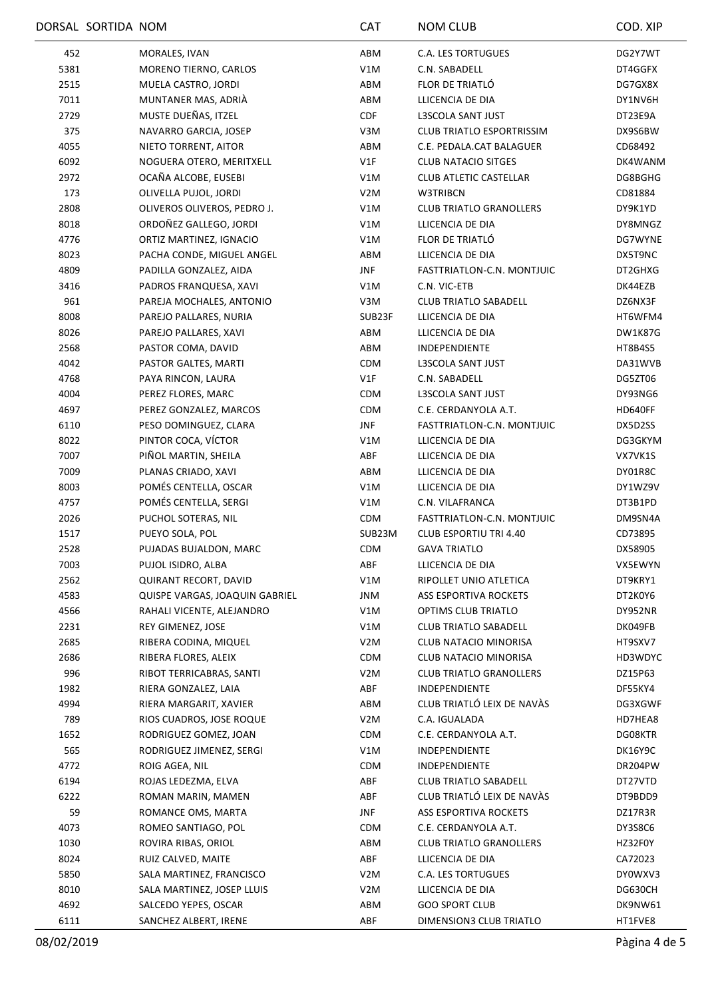|      | DORSAL SORTIDA NOM             | <b>CAT</b>       | <b>NOM CLUB</b>                  | COD. XIP       |
|------|--------------------------------|------------------|----------------------------------|----------------|
| 452  | MORALES, IVAN                  | ABM              | <b>C.A. LES TORTUGUES</b>        | DG2Y7WT        |
| 5381 | MORENO TIERNO, CARLOS          | V1M              | C.N. SABADELL                    | DT4GGFX        |
| 2515 | MUELA CASTRO, JORDI            | ABM              | FLOR DE TRIATLÓ                  | DG7GX8X        |
| 7011 | MUNTANER MAS, ADRIÀ            | ABM              | LLICENCIA DE DIA                 | DY1NV6H        |
| 2729 | MUSTE DUEÑAS, ITZEL            | <b>CDF</b>       | L3SCOLA SANT JUST                | DT23E9A        |
| 375  | NAVARRO GARCIA, JOSEP          | V3M              | <b>CLUB TRIATLO ESPORTRISSIM</b> | DX9S6BW        |
| 4055 | NIETO TORRENT, AITOR           | ABM              | C.E. PEDALA.CAT BALAGUER         | CD68492        |
| 6092 | NOGUERA OTERO, MERITXELL       | V1F              | <b>CLUB NATACIO SITGES</b>       | DK4WANM        |
| 2972 | OCAÑA ALCOBE, EUSEBI           | V1M              | <b>CLUB ATLETIC CASTELLAR</b>    | DG8BGHG        |
| 173  | OLIVELLA PUJOL, JORDI          | V <sub>2</sub> M | W3TRIBCN                         | CD81884        |
| 2808 | OLIVEROS OLIVEROS, PEDRO J.    | V1M              | <b>CLUB TRIATLO GRANOLLERS</b>   | DY9K1YD        |
| 8018 | ORDOÑEZ GALLEGO, JORDI         | V1M              | LLICENCIA DE DIA                 | DY8MNGZ        |
| 4776 | ORTIZ MARTINEZ, IGNACIO        | V1M              | FLOR DE TRIATLÓ                  | DG7WYNE        |
| 8023 | PACHA CONDE, MIGUEL ANGEL      | ABM              | LLICENCIA DE DIA                 | DX5T9NC        |
| 4809 | PADILLA GONZALEZ, AIDA         | JNF              | FASTTRIATLON-C.N. MONTJUIC       | DT2GHXG        |
| 3416 | PADROS FRANQUESA, XAVI         | V1M              | C.N. VIC-ETB                     | DK44EZB        |
| 961  | PAREJA MOCHALES, ANTONIO       | V3M              | <b>CLUB TRIATLO SABADELL</b>     | DZ6NX3F        |
| 8008 | PAREJO PALLARES, NURIA         | SUB23F           | LLICENCIA DE DIA                 | HT6WFM4        |
| 8026 | PAREJO PALLARES, XAVI          | ABM              | LLICENCIA DE DIA                 | <b>DW1K87G</b> |
| 2568 | PASTOR COMA, DAVID             | ABM              | INDEPENDIENTE                    | HT8B4S5        |
| 4042 | PASTOR GALTES, MARTI           | <b>CDM</b>       | L3SCOLA SANT JUST                | DA31WVB        |
| 4768 | PAYA RINCON, LAURA             | V1F              | C.N. SABADELL                    | DG5ZT06        |
| 4004 | PEREZ FLORES, MARC             | CDM              | L3SCOLA SANT JUST                | DY93NG6        |
| 4697 | PEREZ GONZALEZ, MARCOS         | <b>CDM</b>       | C.E. CERDANYOLA A.T.             | HD640FF        |
| 6110 | PESO DOMINGUEZ, CLARA          | <b>JNF</b>       | FASTTRIATLON-C.N. MONTJUIC       | DX5D2SS        |
| 8022 | PINTOR COCA, VÍCTOR            | V1M              | LLICENCIA DE DIA                 | DG3GKYM        |
| 7007 | PIÑOL MARTIN, SHEILA           | ABF              | LLICENCIA DE DIA                 | VX7VK1S        |
|      |                                |                  |                                  |                |
| 7009 | PLANAS CRIADO, XAVI            | ABM              | LLICENCIA DE DIA                 | DY01R8C        |
| 8003 | POMÉS CENTELLA, OSCAR          | V1M              | LLICENCIA DE DIA                 | DY1WZ9V        |
| 4757 | POMÉS CENTELLA, SERGI          | V1M              | C.N. VILAFRANCA                  | DT3B1PD        |
| 2026 | PUCHOL SOTERAS, NIL            | CDM              | FASTTRIATLON-C.N. MONTJUIC       | DM9SN4A        |
| 1517 | PUEYO SOLA, POL                | SUB23M           | <b>CLUB ESPORTIU TRI 4.40</b>    | CD73895        |
| 2528 | PUJADAS BUJALDON, MARC         | <b>CDM</b>       | <b>GAVA TRIATLO</b>              | DX58905        |
| 7003 | PUJOL ISIDRO, ALBA             | ABF              | LLICENCIA DE DIA                 | VX5EWYN        |
| 2562 | <b>QUIRANT RECORT, DAVID</b>   | V1M              | RIPOLLET UNIO ATLETICA           | DT9KRY1        |
| 4583 | QUISPE VARGAS, JOAQUIN GABRIEL | JNM              | ASS ESPORTIVA ROCKETS            | DT2K0Y6        |
| 4566 | RAHALI VICENTE, ALEJANDRO      | V1M              | OPTIMS CLUB TRIATLO              | DY952NR        |
| 2231 | REY GIMENEZ, JOSE              | V1M              | CLUB TRIATLO SABADELL            | DK049FB        |
| 2685 | RIBERA CODINA, MIQUEL          | V <sub>2</sub> M | CLUB NATACIO MINORISA            | HT9SXV7        |
| 2686 | RIBERA FLORES, ALEIX           | <b>CDM</b>       | CLUB NATACIO MINORISA            | HD3WDYC        |
| 996  | RIBOT TERRICABRAS, SANTI       | V <sub>2</sub> M | <b>CLUB TRIATLO GRANOLLERS</b>   | DZ15P63        |
| 1982 | RIERA GONZALEZ, LAIA           | ABF              | INDEPENDIENTE                    | DF55KY4        |
| 4994 | RIERA MARGARIT, XAVIER         | ABM              | CLUB TRIATLÓ LEIX DE NAVÀS       | DG3XGWF        |
| 789  | RIOS CUADROS, JOSE ROQUE       | V2M              | C.A. IGUALADA                    | HD7HEA8        |
| 1652 | RODRIGUEZ GOMEZ, JOAN          | <b>CDM</b>       | C.E. CERDANYOLA A.T.             | DG08KTR        |
| 565  | RODRIGUEZ JIMENEZ, SERGI       | V1M              | INDEPENDIENTE                    | DK16Y9C        |
| 4772 | ROIG AGEA, NIL                 | <b>CDM</b>       | <b>INDEPENDIENTE</b>             | DR204PW        |
| 6194 | ROJAS LEDEZMA, ELVA            | ABF              | <b>CLUB TRIATLO SABADELL</b>     | DT27VTD        |
| 6222 | ROMAN MARIN, MAMEN             | ABF              | CLUB TRIATLÓ LEIX DE NAVÀS       | DT9BDD9        |
| 59   | ROMANCE OMS, MARTA             | JNF              | ASS ESPORTIVA ROCKETS            | DZ17R3R        |
| 4073 | ROMEO SANTIAGO, POL            | <b>CDM</b>       | C.E. CERDANYOLA A.T.             | DY3S8C6        |
| 1030 | ROVIRA RIBAS, ORIOL            | ABM              | <b>CLUB TRIATLO GRANOLLERS</b>   | HZ32F0Y        |
| 8024 | RUIZ CALVED, MAITE             | ABF              | LLICENCIA DE DIA                 | CA72023        |
| 5850 | SALA MARTINEZ, FRANCISCO       | V <sub>2</sub> M | <b>C.A. LES TORTUGUES</b>        | DY0WXV3        |
| 8010 | SALA MARTINEZ, JOSEP LLUIS     | V2M              | LLICENCIA DE DIA                 | DG630CH        |
| 4692 | SALCEDO YEPES, OSCAR           | ABM              | <b>GOO SPORT CLUB</b>            | DK9NW61        |
| 6111 | SANCHEZ ALBERT, IRENE          | ABF              | DIMENSION3 CLUB TRIATLO          | HT1FVE8        |